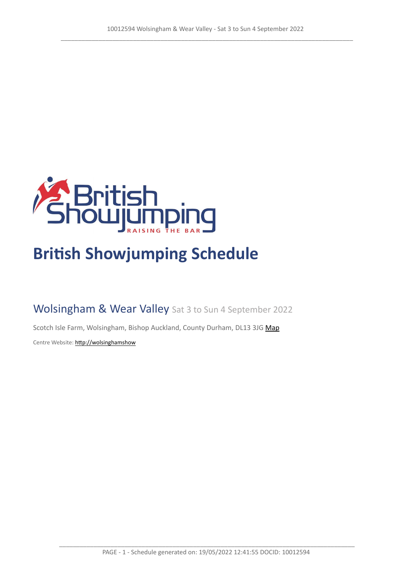

# **British Showjumping Schedule**

Wolsingham & Wear Valley Sat 3 to Sun 4 September 2022

Scotch Isle Farm, Wolsingham, Bishop Auckland, County Durham, DL13 3JG [Map](https://www.google.com/maps/@54.7243293374777,-1.86168305575848,16z)

Centre Website: [http://wolsinghamshow](http://wolsinghamshow )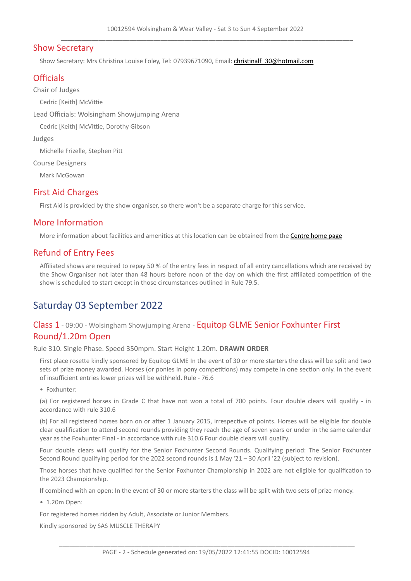## Show Secretary

Show Secretary: Mrs Christina Louise Foley, Tel: 07939671090, Email: christinalf 30@hotmail.com

# **Officials**

Chair of Judges

Cedric [Keith] McVittie

Lead Officials: Wolsingham Showjumping Arena

Cedric [Keith] McVittie, Dorothy Gibson

Judges

Michelle Frizelle, Stephen Pitt

Course Designers

Mark McGowan

## First Aid Charges

First Aid is provided by the show organiser, so there won't be a separate charge for this service.

# More Information

More information about facilities and amenities at this location can be obtained from the **[Centre](http://wolsinghamshow ) [home](http://wolsinghamshow ) [page](http://wolsinghamshow )** 

# Refund of Entry Fees

Affiliated shows are required to repay 50 % of the entry fees in respect of all entry cancellations which are received by the Show Organiser not later than 48 hours before noon of the day on which the first affiliated competition of the show is scheduled to start except in those circumstances outlined in Rule 79.5.

# Saturday 03 September 2022

# Class 1 - 09:00 - Wolsingham Showjumping Arena - Equitop GLME Senior Foxhunter First Round/1.20m Open

#### Rule 310. Single Phase. Speed 350mpm. Start Height 1.20m. **DRAWN ORDER**

First place rosette kindly sponsored by Equitop GLME In the event of 30 or more starters the class will be split and two sets of prize money awarded. Horses (or ponies in pony competitions) may compete in one section only. In the event of insufficient entries lower prizes will be withheld. Rule - 76.6

• Foxhunter:

(a) For registered horses in Grade C that have not won a total of 700 points. Four double clears will qualify - in accordance with rule 310.6

(b) For all registered horses born on or after 1 January 2015, irrespective of points. Horses will be eligible for double clear qualification to attend second rounds providing they reach the age of seven years or under in the same calendar year as the Foxhunter Final - in accordance with rule 310.6 Four double clears will qualify.

Four double clears will qualify for the Senior Foxhunter Second Rounds. Qualifying period: The Senior Foxhunter Second Round qualifying period for the 2022 second rounds is 1 May '21 – 30 April '22 (subject to revision).

Those horses that have qualified for the Senior Foxhunter Championship in 2022 are not eligible for qualification to the 2023 Championship.

If combined with an open: In the event of 30 or more starters the class will be split with two sets of prize money.

• 1.20m Open:

For registered horses ridden by Adult, Associate or Junior Members.

Kindly sponsored by SAS MUSCLE THERAPY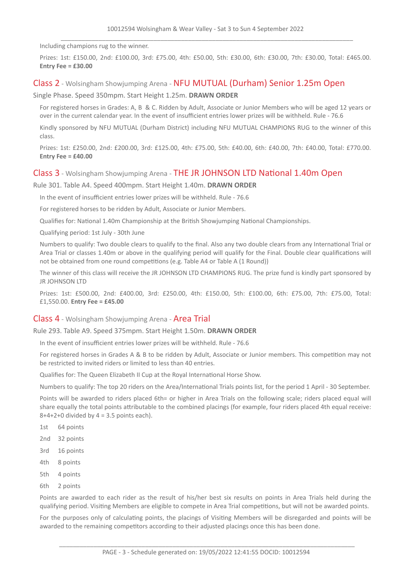Including champions rug to the winner.

Prizes: 1st: £150.00, 2nd: £100.00, 3rd: £75.00, 4th: £50.00, 5th: £30.00, 6th: £30.00, 7th: £30.00, Total: £465.00. **Entry Fee = £30.00**

#### Class 2 - Wolsingham Showjumping Arena - NFU MUTUAL (Durham) Senior 1.25m Open

Single Phase. Speed 350mpm. Start Height 1.25m. **DRAWN ORDER**

For registered horses in Grades: A, B & C. Ridden by Adult, Associate or Junior Members who will be aged 12 years or over in the current calendar year. In the event of insufficient entries lower prizes will be withheld. Rule - 76.6

Kindly sponsored by NFU MUTUAL (Durham District) including NFU MUTUAL CHAMPIONS RUG to the winner of this class.

Prizes: 1st: £250.00, 2nd: £200.00, 3rd: £125.00, 4th: £75.00, 5th: £40.00, 6th: £40.00, 7th: £40.00, Total: £770.00. **Entry Fee = £40.00**

#### Class 3 - Wolsingham Showjumping Arena - THE JR JOHNSON LTD National 1.40m Open

Rule 301. Table A4. Speed 400mpm. Start Height 1.40m. **DRAWN ORDER**

In the event of insufficient entries lower prizes will be withheld. Rule - 76.6

For registered horses to be ridden by Adult, Associate or Junior Members.

Qualifies for: National 1.40m Championship at the British Showjumping National Championships.

Qualifying period: 1st July - 30th June

Numbers to qualify: Two double clears to qualify to the final. Also any two double clears from any International Trial or Area Trial or classes 1.40m or above in the qualifying period will qualify for the Final. Double clear qualifications will not be obtained from one round competitions (e.g. Table A4 or Table A (1 Round))

The winner of this class will receive the JR JOHNSON LTD CHAMPIONS RUG. The prize fund is kindly part sponsored by JR JOHNSON LTD

Prizes: 1st: £500.00, 2nd: £400.00, 3rd: £250.00, 4th: £150.00, 5th: £100.00, 6th: £75.00, 7th: £75.00, Total: £1,550.00. **Entry Fee = £45.00**

#### Class 4 - Wolsingham Showjumping Arena - Area Trial

Rule 293. Table A9. Speed 375mpm. Start Height 1.50m. **DRAWN ORDER**

In the event of insufficient entries lower prizes will be withheld. Rule - 76.6

For registered horses in Grades A & B to be ridden by Adult, Associate or Junior members. This competition may not be restricted to invited riders or limited to less than 40 entries.

Qualifies for: The Queen Elizabeth II Cup at the Royal International Horse Show.

Numbers to qualify: The top 20 riders on the Area/International Trials points list, for the period 1 April - 30 September.

Points will be awarded to riders placed 6th= or higher in Area Trials on the following scale; riders placed equal will share equally the total points attributable to the combined placings (for example, four riders placed 4th equal receive:  $8+4+2+0$  divided by  $4 = 3.5$  points each).

- 1st 64 points
- 2nd 32 points
- 3rd 16 points
- 4th 8 points
- 5th 4 points
- 6th 2 points

Points are awarded to each rider as the result of his/her best six results on points in Area Trials held during the qualifying period. Visiting Members are eligible to compete in Area Trial competitions, but will not be awarded points.

For the purposes only of calculating points, the placings of Visiting Members will be disregarded and points will be awarded to the remaining competitors according to their adjusted placings once this has been done.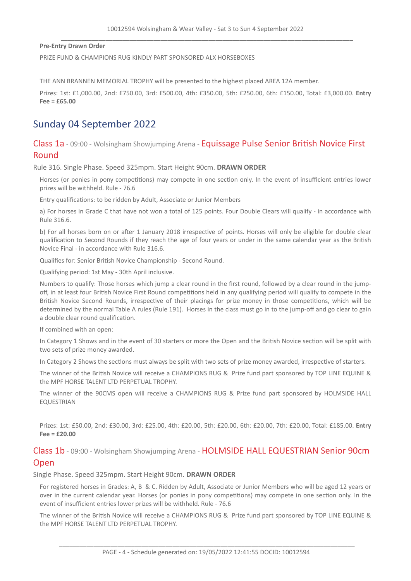**Pre-Entry Drawn Order**

PRIZE FUND & CHAMPIONS RUG KINDLY PART SPONSORED ALX HORSEBOXES

THE ANN BRANNEN MEMORIAL TROPHY will be presented to the highest placed AREA 12A member.

Prizes: 1st: £1,000.00, 2nd: £750.00, 3rd: £500.00, 4th: £350.00, 5th: £250.00, 6th: £150.00, Total: £3,000.00. **Entry Fee = £65.00**

# Sunday 04 September 2022

Class 1a - 09:00 - Wolsingham Showjumping Arena - Equissage Pulse Senior British Novice First Round

Rule 316. Single Phase. Speed 325mpm. Start Height 90cm. **DRAWN ORDER**

Horses (or ponies in pony competitions) may compete in one section only. In the event of insufficient entries lower prizes will be withheld. Rule - 76.6

Entry qualifications: to be ridden by Adult, Associate or Junior Members

a) For horses in Grade C that have not won a total of 125 points. Four Double Clears will qualify - in accordance with Rule 316.6.

b) For all horses born on or after 1 January 2018 irrespective of points. Horses will only be eligible for double clear qualification to Second Rounds if they reach the age of four years or under in the same calendar year as the British Novice Final - in accordance with Rule 316.6.

Qualifies for: Senior British Novice Championship - Second Round.

Qualifying period: 1st May - 30th April inclusive.

Numbers to qualify: Those horses which jump a clear round in the first round, followed by a clear round in the jumpoff, in at least four British Novice First Round competitions held in any qualifying period will qualify to compete in the British Novice Second Rounds, irrespective of their placings for prize money in those competitions, which will be determined by the normal Table A rules (Rule 191). Horses in the class must go in to the jump-off and go clear to gain a double clear round qualification.

If combined with an open:

In Category 1 Shows and in the event of 30 starters or more the Open and the British Novice section will be split with two sets of prize money awarded.

In Category 2 Shows the sections must always be split with two sets of prize money awarded, irrespective of starters.

The winner of the British Novice will receive a CHAMPIONS RUG & Prize fund part sponsored by TOP LINE EQUINE & the MPF HORSE TALENT LTD PERPETUAL TROPHY.

The winner of the 90CMS open will receive a CHAMPIONS RUG & Prize fund part sponsored by HOLMSIDE HALL **EQUESTRIAN** 

Prizes: 1st: £50.00, 2nd: £30.00, 3rd: £25.00, 4th: £20.00, 5th: £20.00, 6th: £20.00, 7th: £20.00, Total: £185.00. **Entry Fee = £20.00**

Class 1b - 09:00 - Wolsingham Showjumping Arena - HOLMSIDE HALL EQUESTRIAN Senior 90cm Open

Single Phase. Speed 325mpm. Start Height 90cm. **DRAWN ORDER**

For registered horses in Grades: A, B & C. Ridden by Adult, Associate or Junior Members who will be aged 12 years or over in the current calendar year. Horses (or ponies in pony competitions) may compete in one section only. In the event of insufficient entries lower prizes will be withheld. Rule - 76.6

The winner of the British Novice will receive a CHAMPIONS RUG & Prize fund part sponsored by TOP LINE EQUINE & the MPF HORSE TALENT LTD PERPETUAL TROPHY.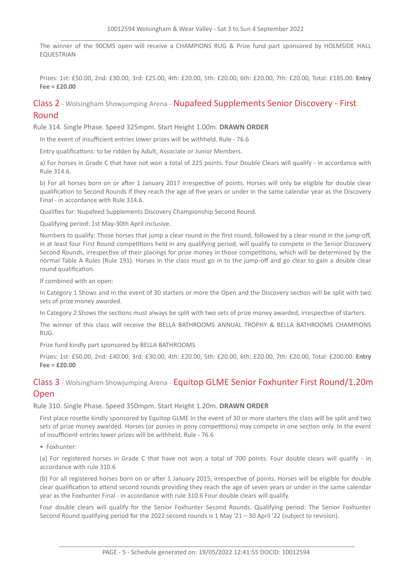The winner of the 90CMS open will receive a CHAMPIONS RUG & Prize fund part sponsored by HOLMSIDE HALL EQUESTRIAN

Prizes: 1st: £50.00, 2nd: £30.00, 3rd: £25.00, 4th: £20.00, 5th: £20.00, 6th: £20.00, 7th: £20.00, Total: £185.00. **Entry Fee = £20.00**

# Class 2 - Wolsingham Showjumping Arena - Nupafeed Supplements Senior Discovery - First Round

Rule 314. Single Phase. Speed 325mpm. Start Height 1.00m. **DRAWN ORDER**

In the event of insufficient entries lower prizes will be withheld. Rule - 76.6

Entry qualifications: to be ridden by Adult, Associate or Junior Members.

a) For horses in Grade C that have not won a total of 225 points. Four Double Clears will qualify - in accordance with Rule 314.6.

b) For all horses born on or after 1 January 2017 irrespective of points. Horses will only be eligible for double clear qualification to Second Rounds if they reach the age of five years or under in the same calendar year as the Discovery Final - in accordance with Rule 314.6.

Qualifies for: Nupafeed Supplements Discovery Championship Second Round.

Qualifying period: 1st May-30th April inclusive.

Numbers to qualify: Those horses that jump a clear round in the first round, followed by a clear round in the jump-off, in at least four First Round competitions held in any qualifying period, will qualify to compete in the Senior Discovery Second Rounds, irrespective of their placings for prize money in those competitions, which will be determined by the normal Table A Rules (Rule 191). Horses in the class must go in to the jump-off and go clear to gain a double clear round qualification.

If combined with an open:

In Category 1 Shows and in the event of 30 starters or more the Open and the Discovery section will be split with two sets of prize money awarded.

In Category 2 Shows the sections must always be split with two sets of prize money awarded, irrespective of starters.

The winner of this class will receive the BELLA BATHROOMS ANNUAL TROPHY & BELLA BATHROOMS CHAMPIONS RUG.

Prize fund kindly part sponsored by BELLA BATHROOMS

Prizes: 1st: £50.00, 2nd: £40.00, 3rd: £30.00, 4th: £20.00, 5th: £20.00, 6th: £20.00, 7th: £20.00, Total: £200.00. **Entry Fee = £20.00**

# Class 3 - Wolsingham Showjumping Arena - Equitop GLME Senior Foxhunter First Round/1.20m Open

Rule 310. Single Phase. Speed 350mpm. Start Height 1.20m. **DRAWN ORDER**

First place rosette kindly sponsored by Equitop GLME In the event of 30 or more starters the class will be split and two sets of prize money awarded. Horses (or ponies in pony competitions) may compete in one section only. In the event of insufficient entries lower prizes will be withheld. Rule - 76.6

• Foxhunter:

(a) For registered horses in Grade C that have not won a total of 700 points. Four double clears will qualify - in accordance with rule 310.6

(b) For all registered horses born on or after 1 January 2015, irrespective of points. Horses will be eligible for double clear qualification to attend second rounds providing they reach the age of seven years or under in the same calendar year as the Foxhunter Final - in accordance with rule 310.6 Four double clears will qualify.

Four double clears will qualify for the Senior Foxhunter Second Rounds. Qualifying period: The Senior Foxhunter Second Round qualifying period for the 2022 second rounds is 1 May '21 – 30 April '22 (subject to revision).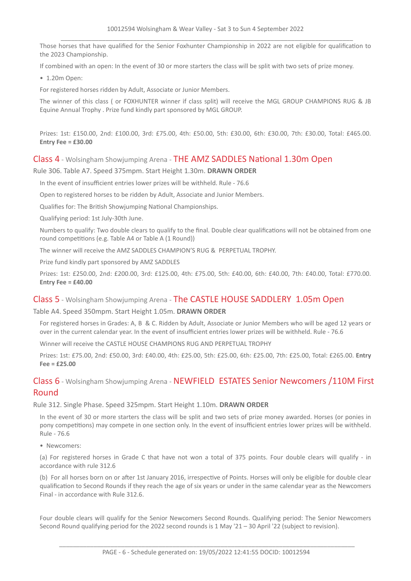Those horses that have qualified for the Senior Foxhunter Championship in 2022 are not eligible for qualification to the 2023 Championship.

If combined with an open: In the event of 30 or more starters the class will be split with two sets of prize money.

• 1.20m Open:

For registered horses ridden by Adult, Associate or Junior Members.

The winner of this class ( or FOXHUNTER winner if class split) will receive the MGL GROUP CHAMPIONS RUG & JB Equine Annual Trophy . Prize fund kindly part sponsored by MGL GROUP.

Prizes: 1st: £150.00, 2nd: £100.00, 3rd: £75.00, 4th: £50.00, 5th: £30.00, 6th: £30.00, 7th: £30.00, Total: £465.00. **Entry Fee = £30.00**

#### Class 4 - Wolsingham Showjumping Arena - THE AMZ SADDLES National 1.30m Open

#### Rule 306. Table A7. Speed 375mpm. Start Height 1.30m. **DRAWN ORDER**

In the event of insufficient entries lower prizes will be withheld. Rule - 76.6

Open to registered horses to be ridden by Adult, Associate and Junior Members.

Qualifies for: The British Showjumping National Championships.

Qualifying period: 1st July-30th June.

Numbers to qualify: Two double clears to qualify to the final. Double clear qualifications will not be obtained from one round competitions (e.g. Table A4 or Table A (1 Round))

The winner will receive the AMZ SADDLES CHAMPION'S RUG & PERPETUAL TROPHY.

Prize fund kindly part sponsored by AMZ SADDLES

Prizes: 1st: £250.00, 2nd: £200.00, 3rd: £125.00, 4th: £75.00, 5th: £40.00, 6th: £40.00, 7th: £40.00, Total: £770.00. **Entry Fee = £40.00**

#### Class 5 - Wolsingham Showjumping Arena - The CASTLE HOUSE SADDLERY 1.05m Open

#### Table A4. Speed 350mpm. Start Height 1.05m. **DRAWN ORDER**

For registered horses in Grades: A, B & C. Ridden by Adult, Associate or Junior Members who will be aged 12 years or over in the current calendar year. In the event of insufficient entries lower prizes will be withheld. Rule - 76.6

Winner will receive the CASTLE HOUSE CHAMPIONS RUG AND PERPETUAL TROPHY

Prizes: 1st: £75.00, 2nd: £50.00, 3rd: £40.00, 4th: £25.00, 5th: £25.00, 6th: £25.00, 7th: £25.00, Total: £265.00. **Entry Fee = £25.00**

# Class 6 - Wolsingham Showjumping Arena - NEWFIELD ESTATES Senior Newcomers /110M First Round

Rule 312. Single Phase. Speed 325mpm. Start Height 1.10m. **DRAWN ORDER**

In the event of 30 or more starters the class will be split and two sets of prize money awarded. Horses (or ponies in pony competitions) may compete in one section only. In the event of insufficient entries lower prizes will be withheld. Rule - 76.6

• Newcomers:

(a) For registered horses in Grade C that have not won a total of 375 points. Four double clears will qualify - in accordance with rule 312.6

(b) For all horses born on or after 1st January 2016, irrespective of Points. Horses will only be eligible for double clear qualification to Second Rounds if they reach the age of six years or under in the same calendar year as the Newcomers Final - in accordance with Rule 312.6.

Four double clears will qualify for the Senior Newcomers Second Rounds. Qualifying period: The Senior Newcomers Second Round qualifying period for the 2022 second rounds is 1 May '21 – 30 April '22 (subject to revision).